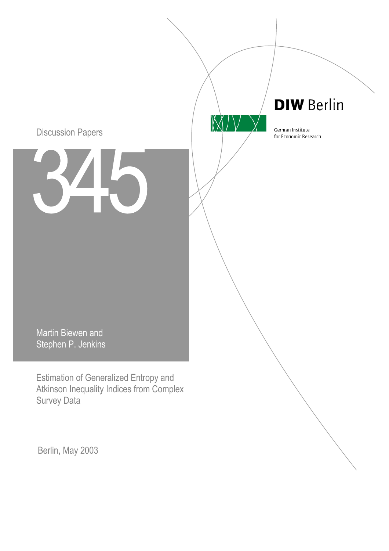# Discussion Papers

**DIW Berlin** 

German Institute for Economic Research

 $\mathbb{M}$ 

Martin Biewen and Stephen P. Jenkins

Estimation of Generalized Entropy and Atkinson Inequality Indices from Complex Survey Data

Berlin, May 2003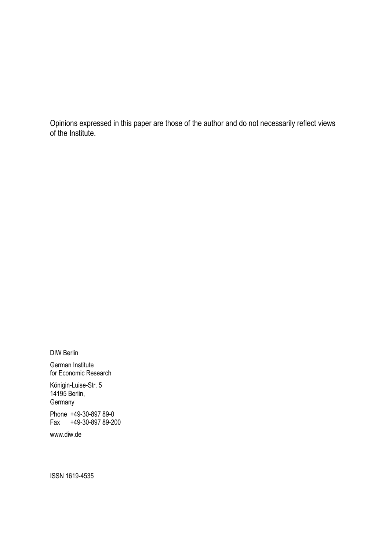Opinions expressed in this paper are those of the author and do not necessarily reflect views of the Institute.

DIW Berlin

German Institute for Economic Research

Königin-Luise-Str. 5 14195 Berlin, **Germany** 

Phone +49-30-897 89-0 Fax +49-30-897 89-200

www.diw.de

ISSN 1619-4535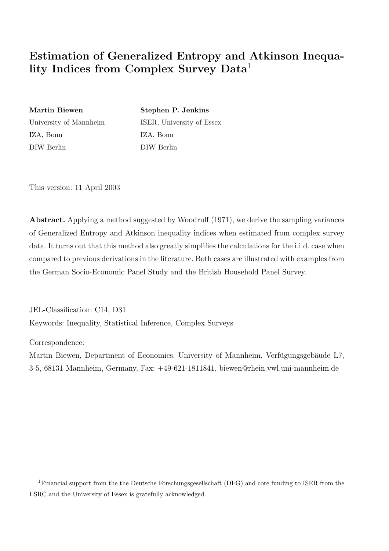# **Estimation of Generalized Entropy and Atkinson Inequality Indices from Complex Survey Data**<sup>1</sup>

IZA, Bonn IZA, Bonn DIW Berlin DIW Berlin

**Martin Biewen Stephen P. Jenkins** University of Mannheim ISER, University of Essex

This version: 11 April 2003

**Abstract.** Applying a method suggested by Woodruff (1971), we derive the sampling variances of Generalized Entropy and Atkinson inequality indices when estimated from complex survey data. It turns out that this method also greatly simplifies the calculations for the i.i.d. case when compared to previous derivations in the literature. Both cases are illustrated with examples from the German Socio-Economic Panel Study and the British Household Panel Survey.

JEL-Classification: C14, D31 Keywords: Inequality, Statistical Inference, Complex Surveys

Correspondence:

Martin Biewen, Department of Economics, University of Mannheim, Verfügungsgebäude L7, 3-5, 68131 Mannheim, Germany, Fax: +49-621-1811841, biewen@rhein.vwl.uni-mannheim.de

<sup>1</sup>Financial support from the the Deutsche Forschungsgesellschaft (DFG) and core funding to ISER from the ESRC and the University of Essex is gratefully acknowledged.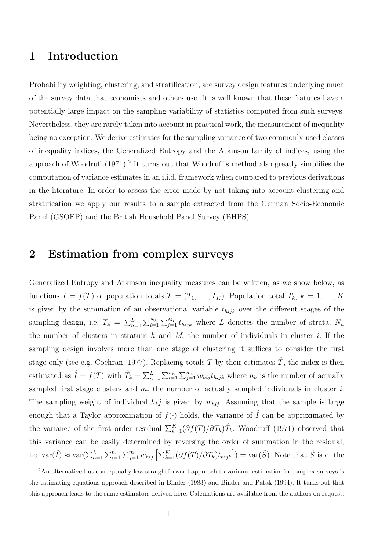## **1 Introduction**

Probability weighting, clustering, and stratification, are survey design features underlying much of the survey data that economists and others use. It is well known that these features have a potentially large impact on the sampling variability of statistics computed from such surveys. Nevertheless, they are rarely taken into account in practical work, the measurement of inequality being no exception. We derive estimates for the sampling variance of two commonly-used classes of inequality indices, the Generalized Entropy and the Atkinson family of indices, using the approach of Woodruff  $(1971)^2$ . It turns out that Woodruff's method also greatly simplifies the computation of variance estimates in an i.i.d. framework when compared to previous derivations in the literature. In order to assess the error made by not taking into account clustering and stratification we apply our results to a sample extracted from the German Socio-Economic Panel (GSOEP) and the British Household Panel Survey (BHPS).

### **2 Estimation from complex surveys**

Generalized Entropy and Atkinson inequality measures can be written, as we show below, as functions  $I = f(T)$  of population totals  $T = (T_1, \ldots, T_K)$ . Population total  $T_k$ ,  $k = 1, \ldots, K$ is given by the summation of an observational variable  $t_{hijk}$  over the different stages of the sampling design, i.e.  $T_k = \sum_{n=1}^L \sum_{i=1}^{N_h} \sum_{j=1}^{M_i} t_{hijk}$  where L denotes the number of strata,  $N_h$ the number of clusters in stratum h and  $M_i$  the number of individuals in cluster i. If the sampling design involves more than one stage of clustering it suffices to consider the first stage only (see e.g. Cochran, 1977). Replacing totals T by their estimates  $\hat{T}$ , the index is then estimated as  $\hat{I} = f(\hat{T})$  with  $\hat{T}_k = \sum_{n=1}^L \sum_{i=1}^{n_h} \sum_{j=1}^{m_i} w_{hij} t_{hijk}$  where  $n_h$  is the number of actually sampled first stage clusters and  $m_i$  the number of actually sampled individuals in cluster i. The sampling weight of individual *hij* is given by  $w_{hij}$ . Assuming that the sample is large enough that a Taylor approximation of  $f(.)$  holds, the variance of  $\hat{I}$  can be approximated by the variance of the first order residual  $\sum_{k=1}^{K}(\partial f(T)/\partial T_k)\hat{T}_k$ . Woodruff (1971) observed that this variance can be easily determined by reversing the order of summation in the residual, i.e.  $\text{var}(\hat{I}) \approx \text{var}(\sum_{n=1}^{L} \sum_{i=1}^{n_h} \sum_{j=1}^{m_i} w_{hij} \left[ \sum_{k=1}^{K} (\partial f(T)/\partial T_k) t_{hijk} \right] ) = \text{var}(\hat{S})$ . Note that  $\hat{S}$  is of the

<sup>&</sup>lt;sup>2</sup>An alternative but conceptually less straightforward approach to variance estimation in complex surveys is the estimating equations approach described in Binder (1983) and Binder and Patak (1994). It turns out that this approach leads to the same estimators derived here. Calculations are available from the authors on request.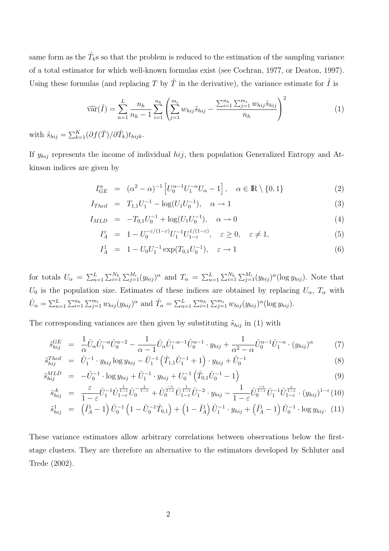same form as the  $\hat{T}_k$ s so that the problem is reduced to the estimation of the sampling variance of a total estimator for which well-known formulas exist (see Cochran, 1977, or Deaton, 1997). Using these formulas (and replacing T by  $\hat{T}$  in the derivative), the variance estimate for  $\hat{I}$  is

$$
\widehat{\text{var}}(\hat{I}) = \sum_{n=1}^{L} \frac{n_h}{n_h - 1} \sum_{i=1}^{n_h} \left( \sum_{j=1}^{m_i} w_{hij} \tilde{s}_{hij} - \frac{\sum_{i=1}^{n_h} \sum_{j=1}^{m_i} w_{hij} \tilde{s}_{hij}}{n_h} \right)^2 \tag{1}
$$

with  $\tilde{s}_{hij} = \sum_{k=1}^{K} (\partial f(\hat{T})/\partial \hat{T}_k) t_{hijk}$ .

If  $y_{hij}$  represents the income of individual  $hij$ , then population Generalized Entropy and Atkinson indices are given by

$$
I_{GE}^{\alpha} = (\alpha^2 - \alpha)^{-1} \left[ U_0^{\alpha - 1} U_1^{-\alpha} U_{\alpha} - 1 \right], \quad \alpha \in \mathbb{R} \setminus \{0, 1\}
$$
 (2)

$$
I_{Theil} = T_{1,1}U_1^{-1} - \log(U_1U_0^{-1}), \quad \alpha \to 1
$$
\n(3)

$$
I_{MLD} = -T_{0,1}U_0^{-1} + \log(U_1U_0^{-1}), \quad \alpha \to 0
$$
\n(4)

$$
I_A^{\varepsilon} = 1 - U_0^{-\varepsilon/(1-\varepsilon)} U_1^{-1} U_{1-\varepsilon}^{1/(1-\varepsilon)}, \quad \varepsilon \ge 0, \quad \varepsilon \ne 1,
$$
 (5)

$$
I_A^1 = 1 - U_0 U_1^{-1} \exp(T_{0,1} U_0^{-1}), \quad \varepsilon \to 1
$$
 (6)

for totals  $U_{\alpha} = \sum_{n=1}^{L} \sum_{i=1}^{N_h} \sum_{j=1}^{M_i} (y_{hij})^{\alpha}$  and  $T_{\alpha} = \sum_{n=1}^{L} \sum_{i=1}^{N_h} \sum_{j=1}^{M_i} (y_{hij})^{\alpha} (\log y_{hij})$ . Note that  $U_0$  is the population size. Estimates of these indices are obtained by replacing  $U_{\alpha}$ ,  $T_{\alpha}$  with  $\hat{U}_{\alpha} = \sum_{n=1}^{L} \sum_{i=1}^{n_h} \sum_{j=1}^{m_i} w_{hij} (y_{hij})^{\alpha}$  and  $\hat{T}_{\alpha} = \sum_{n=1}^{L} \sum_{i=1}^{n_h} \sum_{j=1}^{m_i} w_{hij} (y_{hij})^{\alpha} (\log y_{hij}).$ 

The corresponding variances are then given by substituting  $\tilde{s}_{hij}$  in (1) with

$$
\tilde{s}_{hij}^{GE} = \frac{1}{\alpha} \hat{U}_{\alpha} \hat{U}_{1}^{-\alpha} \hat{U}_{0}^{\alpha-2} - \frac{1}{\alpha-1} \hat{U}_{\alpha} \hat{U}_{1}^{-\alpha-1} \hat{U}_{0}^{\alpha-1} \cdot y_{hij} + \frac{1}{\alpha^{2}-\alpha} \hat{U}_{0}^{\alpha-1} \hat{U}_{1}^{-\alpha} \cdot (y_{hij})^{\alpha} \tag{7}
$$
\n
$$
T_{heil}^{Eil} = \hat{U}_{1}^{-1} \cdot \hat{U}_{1}^{-1} \cdot \hat{U}_{1}^{-1} \cdot (\hat{T}_{h}^{-1} \hat{U}_{1}^{-1} \cdot 1) \cdot \hat{U}_{1}^{-1} \tag{8}
$$

$$
\tilde{s}_{hij}^{Theil} = \tilde{U}_1^{-1} \cdot y_{hij} \log y_{hij} - \tilde{U}_1^{-1} \left( \hat{T}_{1,1} \tilde{U}_1^{-1} + 1 \right) \cdot y_{hij} + \tilde{U}_0^{-1} \tag{8}
$$

$$
\tilde{s}_{hij}^{MLD} = -\hat{U}_0^{-1} \cdot \log y_{hij} + \hat{U}_1^{-1} \cdot y_{hij} + U_0^{-1} \left( \hat{T}_{0,1} \hat{U}_0^{-1} - 1 \right) \tag{9}
$$

$$
\tilde{s}_{hij}^A = \frac{\varepsilon}{1-\varepsilon} \hat{U}_1^{-1} \hat{U}_{1-\varepsilon}^{\frac{1}{1-\varepsilon}} \hat{U}_0^{-\frac{1}{1-\varepsilon}} + \hat{U}_0^{\frac{-\varepsilon}{1-\varepsilon}} \hat{U}_{1-\varepsilon}^{\frac{1}{1-\varepsilon}} \hat{U}_1^{-2} \cdot y_{hij} - \frac{1}{1-\varepsilon} \hat{U}_0^{\frac{-\varepsilon}{1-\varepsilon}} \hat{U}_1^{-1} \hat{U}_{1-\varepsilon}^{\frac{\varepsilon}{1-\varepsilon}} \cdot (y_{hij})^{1-\varepsilon} (10)
$$

$$
\tilde{s}_{hij}^1 = (\hat{I}_A^1 - 1) \hat{U}_0^{-1} (1 - \hat{U}_0^{-1} \hat{T}_{0,1}) + (1 - \hat{I}_A^1) \hat{U}_1^{-1} \cdot y_{hij} + (\hat{I}_A^1 - 1) \hat{U}_0^{-1} \cdot \log y_{hij}. (11)
$$

These variance estimators allow arbitrary correlations between observations below the firststage clusters. They are therefore an alternative to the estimators developed by Schluter and Trede (2002).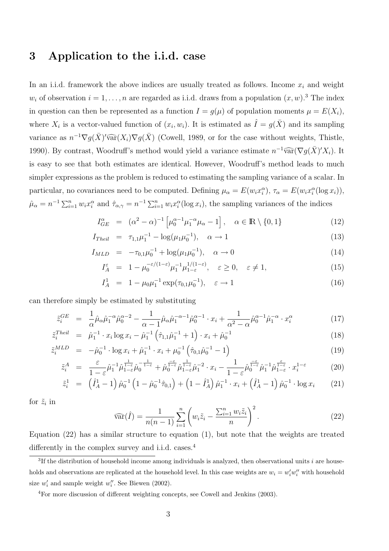## **3 Application to the i.i.d. case**

In an i.i.d. framework the above indices are usually treated as follows. Income  $x_i$  and weight  $w_i$  of observation  $i = 1, \ldots, n$  are regarded as i.i.d. draws from a population  $(x, w)$ .<sup>3</sup> The index in question can then be represented as a function  $I = g(\mu)$  of population moments  $\mu = E(X_i)$ , where  $X_i$  is a vector-valued function of  $(x_i, w_i)$ . It is estimated as  $\hat{I} = g(\bar{X})$  and its sampling variance as  $n^{-1} \nabla g(\bar{X})' \widehat{\text{var}}(X_i) \nabla g(\bar{X})$  (Cowell, 1989, or for the case without weights, Thistle, 1990). By contrast, Woodruff's method would yield a variance estimate  $n^{-1}\widehat{\text{var}}(\nabla g(\bar{X})'X_i)$ . It is easy to see that both estimates are identical. However, Woodruff's method leads to much simpler expressions as the problem is reduced to estimating the sampling variance of a scalar. In particular, no covariances need to be computed. Defining  $\mu_{\alpha} = E(w_i x_i^{\alpha}), \tau_{\alpha} = E(w_i x_i^{\alpha} (\log x_i)),$  $\hat{\mu}_{\alpha} = n^{-1} \sum_{i=1}^{n} w_i x_i^{\alpha}$  and  $\hat{\tau}_{\alpha,\gamma} = n^{-1} \sum_{i=1}^{n} w_i x_i^{\alpha} (\log x_i)$ , the sampling variances of the indices

$$
I_{GE}^{\alpha} = (\alpha^2 - \alpha)^{-1} \left[ \mu_0^{\alpha - 1} \mu_1^{-\alpha} \mu_\alpha - 1 \right], \quad \alpha \in \mathbb{R} \setminus \{0, 1\}
$$
 (12)

$$
I_{Theil} = \tau_{1,1} \mu_1^{-1} - \log(\mu_1 \mu_0^{-1}), \quad \alpha \to 1 \tag{13}
$$

$$
I_{MLD} = -\tau_{0,1}\mu_0^{-1} + \log(\mu_1\mu_0^{-1}), \quad \alpha \to 0
$$
\n(14)

$$
I_A^{\varepsilon} = 1 - \mu_0^{-\varepsilon/(1-\varepsilon)} \mu_1^{-1} \mu_{1-\varepsilon}^{1/(1-\varepsilon)}, \quad \varepsilon \ge 0, \quad \varepsilon \ne 1,
$$
 (15)

$$
I_A^1 = 1 - \mu_0 \mu_1^{-1} \exp(\tau_{0,1} \mu_0^{-1}), \quad \varepsilon \to 1
$$
 (16)

can therefore simply be estimated by substituting

$$
\tilde{z}_{i}^{GE} = \frac{1}{\alpha} \hat{\mu}_{\alpha} \hat{\mu}_{1}^{-\alpha} \hat{\mu}_{0}^{\alpha-2} - \frac{1}{\alpha-1} \hat{\mu}_{\alpha} \hat{\mu}_{1}^{-\alpha-1} \hat{\mu}_{0}^{\alpha-1} \cdot x_{i} + \frac{1}{\alpha^{2}-\alpha} \hat{\mu}_{0}^{\alpha-1} \hat{\mu}_{1}^{-\alpha} \cdot x_{i}^{\alpha}
$$
\n(17)

$$
\tilde{z}_{i}^{Theil} = \hat{\mu}_{1}^{-1} \cdot x_{i} \log x_{i} - \hat{\mu}_{1}^{-1} \left( \hat{\tau}_{1,1} \hat{\mu}_{1}^{-1} + 1 \right) \cdot x_{i} + \hat{\mu}_{0}^{-1} \tag{18}
$$

$$
\tilde{z}_{i}^{MLD} = -\hat{\mu}_{0}^{-1} \cdot \log x_{i} + \hat{\mu}_{1}^{-1} \cdot x_{i} + \mu_{0}^{-1} \left( \hat{\tau}_{0,1} \hat{\mu}_{0}^{-1} - 1 \right) \tag{19}
$$

$$
\tilde{z}_{i}^{A} = \frac{\varepsilon}{1-\varepsilon} \hat{\mu}_{1}^{-1} \hat{\mu}_{1-\varepsilon}^{\frac{1}{1-\varepsilon}} \hat{\mu}_{0}^{-\frac{1}{1-\varepsilon}} + \hat{\mu}_{0}^{\frac{-\varepsilon}{1-\varepsilon}} \hat{\mu}_{1-\varepsilon}^{\frac{1}{1-\varepsilon}} \hat{\mu}_{1}^{-2} \cdot x_{i} - \frac{1}{1-\varepsilon} \hat{\mu}_{0}^{\frac{-\varepsilon}{1-\varepsilon}} \hat{\mu}_{1}^{-1} \hat{\mu}_{1-\varepsilon}^{\frac{\varepsilon}{1-\varepsilon}} \cdot x_{i}^{1-\varepsilon} \tag{20}
$$
\n
$$
\tilde{z}_{i}^{1} = \hat{\mu}_{1}^{1} \hat{\mu}_{1}^{1} \hat{\mu}_{1-\varepsilon}^{\frac{\varepsilon}{1-\varepsilon}} \cdot x_{i}^{1-\varepsilon} \tag{21}
$$

$$
\tilde{z}_{i}^{1} = \left(\hat{I}_{A}^{1} - 1\right) \hat{\mu}_{0}^{-1} \left(1 - \hat{\mu}_{0}^{-1} \hat{\tau}_{0,1}\right) + \left(1 - \hat{I}_{A}^{1}\right) \hat{\mu}_{1}^{-1} \cdot x_{i} + \left(\hat{I}_{A}^{1} - 1\right) \hat{\mu}_{0}^{-1} \cdot \log x_{i} \qquad (21)
$$

for  $\tilde{z}_i$  in

$$
\widehat{\text{var}}(\hat{I}) = \frac{1}{n(n-1)} \sum_{i=1}^{n} \left( w_i \tilde{z}_i - \frac{\sum_{i=1}^{n} w_i \tilde{z}_i}{n} \right)^2.
$$
\n(22)

Equation (22) has a similar structure to equation (1), but note that the weights are treated differently in the complex survey and i.i.d. cases.<sup>4</sup>

 ${}^{3}$ If the distribution of household income among individuals is analyzed, then observational units *i* are households and observations are replicated at the household level. In this case weights are  $w_i = w'_i w''_i$  with household size  $w_i'$  and sample weight  $w_i''$ . See Biewen (2002).

<sup>4</sup>For more discussion of different weighting concepts, see Cowell and Jenkins (2003).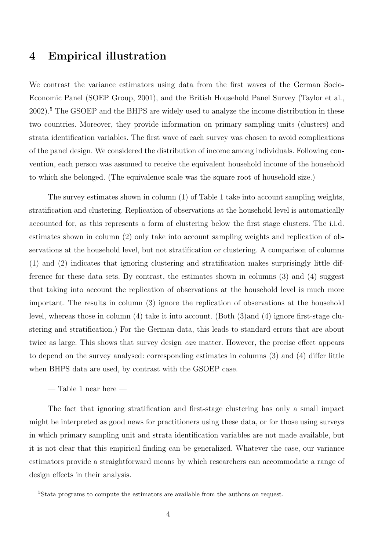## **4 Empirical illustration**

We contrast the variance estimators using data from the first waves of the German Socio-Economic Panel (SOEP Group, 2001), and the British Household Panel Survey (Taylor et al., 2002).<sup>5</sup> The GSOEP and the BHPS are widely used to analyze the income distribution in these two countries. Moreover, they provide information on primary sampling units (clusters) and strata identification variables. The first wave of each survey was chosen to avoid complications of the panel design. We considered the distribution of income among individuals. Following convention, each person was assumed to receive the equivalent household income of the household to which she belonged. (The equivalence scale was the square root of household size.)

The survey estimates shown in column (1) of Table 1 take into account sampling weights, stratification and clustering. Replication of observations at the household level is automatically accounted for, as this represents a form of clustering below the first stage clusters. The i.i.d. estimates shown in column (2) only take into account sampling weights and replication of observations at the household level, but not stratification or clustering. A comparison of columns (1) and (2) indicates that ignoring clustering and stratification makes surprisingly little difference for these data sets. By contrast, the estimates shown in columns (3) and (4) suggest that taking into account the replication of observations at the household level is much more important. The results in column (3) ignore the replication of observations at the household level, whereas those in column (4) take it into account. (Both (3)and (4) ignore first-stage clustering and stratification.) For the German data, this leads to standard errors that are about twice as large. This shows that survey design *can* matter. However, the precise effect appears to depend on the survey analysed: corresponding estimates in columns (3) and (4) differ little when BHPS data are used, by contrast with the GSOEP case.

 $-$  Table 1 near here  $-$ 

The fact that ignoring stratification and first-stage clustering has only a small impact might be interpreted as good news for practitioners using these data, or for those using surveys in which primary sampling unit and strata identification variables are not made available, but it is not clear that this empirical finding can be generalized. Whatever the case, our variance estimators provide a straightforward means by which researchers can accommodate a range of design effects in their analysis.

<sup>&</sup>lt;sup>5</sup>Stata programs to compute the estimators are available from the authors on request.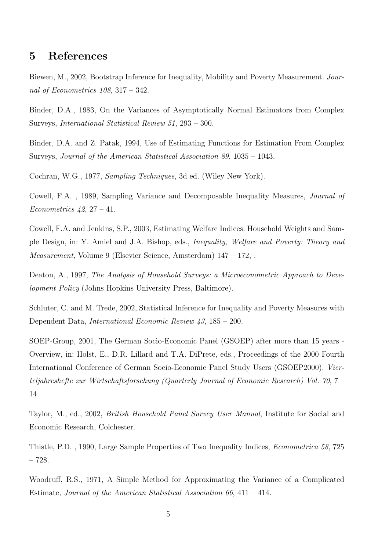#### **5 References**

Biewen, M., 2002, Bootstrap Inference for Inequality, Mobility and Poverty Measurement. *Journal of Econometrics 108*, 317 – 342.

Binder, D.A., 1983, On the Variances of Asymptotically Normal Estimators from Complex Surveys, *International Statistical Review 51*, 293 – 300.

Binder, D.A. and Z. Patak, 1994, Use of Estimating Functions for Estimation From Complex Surveys, *Journal of the American Statistical Association 89*, 1035 – 1043.

Cochran, W.G., 1977, *Sampling Techniques*, 3d ed. (Wiley New York).

Cowell, F.A. , 1989, Sampling Variance and Decomposable Inequality Measures, *Journal of Econometrics 42*, 27 – 41.

Cowell, F.A. and Jenkins, S.P., 2003, Estimating Welfare Indices: Household Weights and Sample Design, in: Y. Amiel and J.A. Bishop, eds., *Inequality, Welfare and Poverty: Theory and Measurement*, Volume 9 (Elsevier Science, Amsterdam) 147 – 172, .

Deaton, A., 1997, *The Analysis of Household Surveys: a Microeconometric Approach to Development Policy* (Johns Hopkins University Press, Baltimore).

Schluter, C. and M. Trede, 2002, Statistical Inference for Inequality and Poverty Measures with Dependent Data, *International Economic Review 43*, 185 – 200.

SOEP-Group, 2001, The German Socio-Economic Panel (GSOEP) after more than 15 years - Overview, in: Holst, E., D.R. Lillard and T.A. DiPrete, eds., Proceedings of the 2000 Fourth International Conference of German Socio-Economic Panel Study Users (GSOEP2000), *Vierteljahreshefte zur Wirtschaftsforschung (Quarterly Journal of Economic Research) Vol. 70*,7– 14.

Taylor, M., ed., 2002, *British Household Panel Survey User Manual*, Institute for Social and Economic Research, Colchester.

Thistle, P.D. , 1990, Large Sample Properties of Two Inequality Indices, *Econometrica 58*, 725 – 728.

Woodruff, R.S., 1971, A Simple Method for Approximating the Variance of a Complicated Estimate, *Journal of the American Statistical Association 66*, 411 – 414.